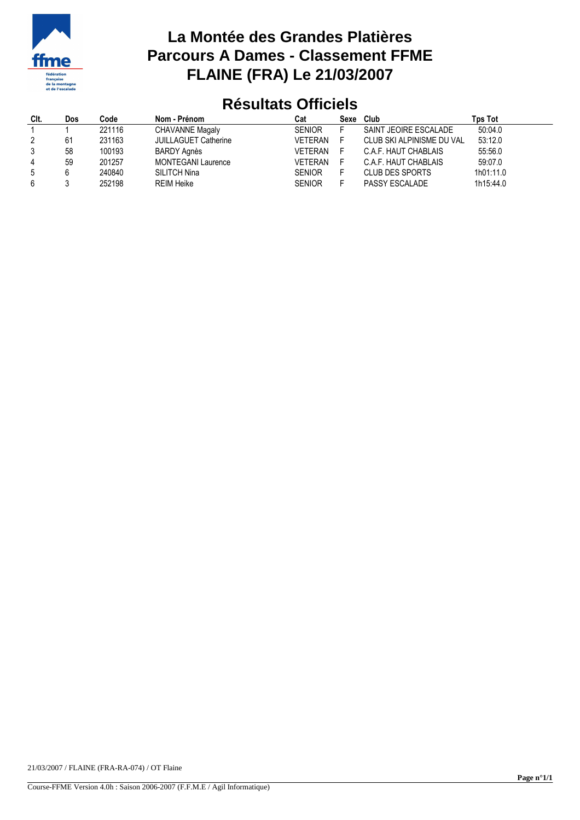

## **La Montée des Grandes Platières Parcours A Dames - Classement FFME FLAINE (FRA) Le 21/03/2007**

## **Résultats Officiels**

| CIt. | Dos | Code   | Nom - Prénom                | Cat           | Sexe | Club                      | Tps Tot   |
|------|-----|--------|-----------------------------|---------------|------|---------------------------|-----------|
|      |     | 221116 | <b>CHAVANNE Magaly</b>      | <b>SENIOR</b> |      | SAINT JEOIRE ESCALADE     | 50:04.0   |
| 2    | 61  | 231163 | <b>JUILLAGUET Catherine</b> | VETERAN       |      | CLUB SKI ALPINISME DU VAL | 53:12.0   |
| 3    | 58  | 100193 | BARDY Agnès                 | VETERAN       |      | C.A.F. HAUT CHABLAIS      | 55:56.0   |
| 4    | 59  | 201257 | <b>MONTEGANI Laurence</b>   | VFTFRAN       |      | C.A.F. HAUT CHABLAIS      | 59:07.0   |
| 5    |     | 240840 | SILITCH Nina                | <b>SENIOR</b> |      | CLUB DES SPORTS           | 1h01:11.0 |
| 6    |     | 252198 | <b>REIM Heike</b>           | <b>SENIOR</b> |      | PASSY ESCALADE            | 1h15:44.0 |